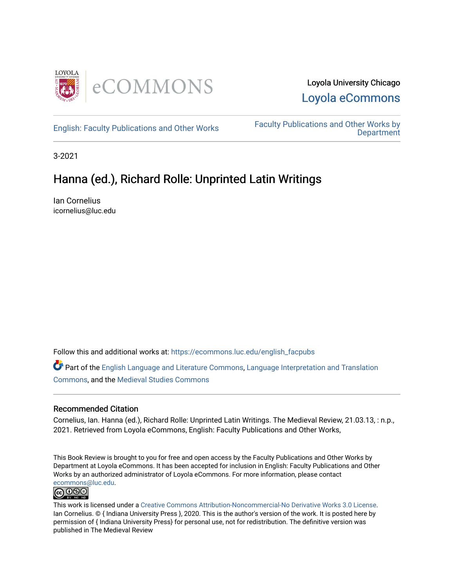

[English: Faculty Publications and Other Works](https://ecommons.luc.edu/english_facpubs) Faculty Publications and Other Works by **Department** 

3-2021

### Hanna (ed.), Richard Rolle: Unprinted Latin Writings

Ian Cornelius icornelius@luc.edu

Follow this and additional works at: [https://ecommons.luc.edu/english\\_facpubs](https://ecommons.luc.edu/english_facpubs?utm_source=ecommons.luc.edu%2Fenglish_facpubs%2F87&utm_medium=PDF&utm_campaign=PDFCoverPages) 

Part of the [English Language and Literature Commons](https://network.bepress.com/hgg/discipline/455?utm_source=ecommons.luc.edu%2Fenglish_facpubs%2F87&utm_medium=PDF&utm_campaign=PDFCoverPages), [Language Interpretation and Translation](https://network.bepress.com/hgg/discipline/1391?utm_source=ecommons.luc.edu%2Fenglish_facpubs%2F87&utm_medium=PDF&utm_campaign=PDFCoverPages) [Commons](https://network.bepress.com/hgg/discipline/1391?utm_source=ecommons.luc.edu%2Fenglish_facpubs%2F87&utm_medium=PDF&utm_campaign=PDFCoverPages), and the [Medieval Studies Commons](https://network.bepress.com/hgg/discipline/480?utm_source=ecommons.luc.edu%2Fenglish_facpubs%2F87&utm_medium=PDF&utm_campaign=PDFCoverPages)

#### Recommended Citation

Cornelius, Ian. Hanna (ed.), Richard Rolle: Unprinted Latin Writings. The Medieval Review, 21.03.13, : n.p., 2021. Retrieved from Loyola eCommons, English: Faculty Publications and Other Works,

This Book Review is brought to you for free and open access by the Faculty Publications and Other Works by Department at Loyola eCommons. It has been accepted for inclusion in English: Faculty Publications and Other Works by an authorized administrator of Loyola eCommons. For more information, please contact [ecommons@luc.edu](mailto:ecommons@luc.edu).



This work is licensed under a [Creative Commons Attribution-Noncommercial-No Derivative Works 3.0 License.](https://creativecommons.org/licenses/by-nc-nd/3.0/) Ian Cornelius. © { Indiana University Press }, 2020. This is the author's version of the work. It is posted here by permission of { Indiana University Press} for personal use, not for redistribution. The definitive version was published in The Medieval Review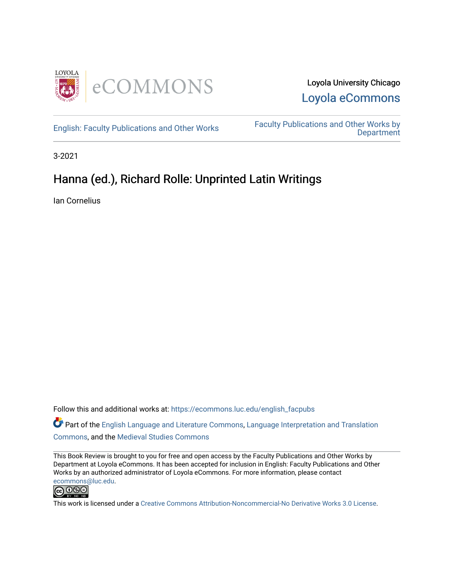



English: Faculty Publications and Other Works Faculty Publications and Other Works by **Department** 

3-2021

### Hanna (ed.), Richard Rolle: Unprinted Latin Writings

Ian Cornelius

Follow this and additional works at: https://ecommons.luc.edu/english\_facpubs

Part of the English Language and Literature Commons, Language Interpretation and Translation Commons, and the Medieval Studies Commons

This Book Review is brought to you for free and open access by the Faculty Publications and Other Works by Department at Loyola eCommons. It has been accepted for inclusion in English: Faculty Publications and Other Works by an authorized administrator of Loyola eCommons. For more information, please contact ecommons@luc.edu.



This work is licensed under a Creative Commons Attribution-Noncommercial-No Derivative Works 3.0 License.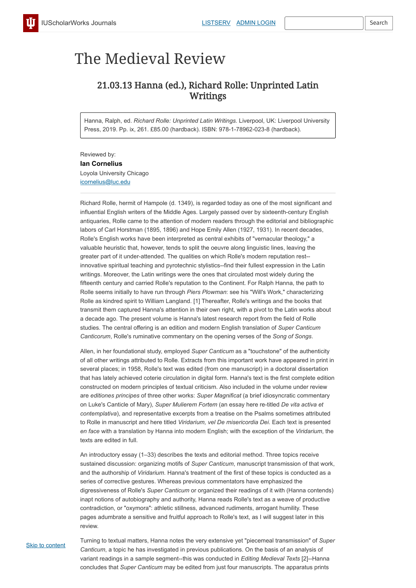# The Medieval Review

## 21.03.13 Hanna (ed.), Richard Rolle: Unprinted Latin Writings

Hanna, Ralph, ed. *Richard Rolle: Unprinted Latin Writings.* Liverpool, UK: Liverpool University Press, 2019. Pp. ix, 261. £85.00 (hardback). ISBN: 978-1-78962-023-8 (hardback).

Reviewed by: **Ian Cornelius** Loyola University Chicago icornelius@luc.edu

Richard Rolle, hermit of Hampole (d. 1349), is regarded today as one of the most significant and influential English writers of the Middle Ages. Largely passed over by sixteenth-century English antiquaries, Rolle came to the attention of modern readers through the editorial and bibliographic labors of Carl Horstman (1895, 1896) and Hope Emily Allen (1927, 1931). In recent decades, Rolle's English works have been interpreted as central exhibits of "vernacular theology," a valuable heuristic that, however, tends to split the oeuvre along linguistic lines, leaving the greater part of it under-attended. The qualities on which Rolle's modern reputation rest- innovative spiritual teaching and pyrotechnic stylistics--find their fullest expression in the Latin writings. Moreover, the Latin writings were the ones that circulated most widely during the fifteenth century and carried Rolle's reputation to the Continent. For Ralph Hanna, the path to Rolle seems initially to have run through *Piers Plowman*: see his "Will's Work," characterizing Rolle as kindred spirit to William Langland. [1] Thereafter, Rolle's writings and the books that transmit them captured Hanna's attention in their own right, with a pivot to the Latin works about a decade ago. The present volume is Hanna's latest research report from the field of Rolle studies. The central offering is an edition and modern English translation of *Super Canticum Canticorum*, Rolle's ruminative commentary on the opening verses of the *Song of Songs*.

Allen, in her foundational study, employed *Super Canticum* as a "touchstone" of the authenticity of all other writings attributed to Rolle. Extracts from this important work have appeared in print in several places; in 1958, Rolle's text was edited (from one manuscript) in a doctoral dissertation that has lately achieved coterie circulation in digital form. Hanna's text is the first complete edition constructed on modern principles of textual criticism. Also included in the volume under review are *editiones principes* of three other works: *Super Magnificat* (a brief idiosyncratic commentary on Luke's Canticle of Mary), *Super Mulierem Fortem* (an essay here re-titled *De vita activa et contemplativa*), and representative excerpts from a treatise on the Psalms sometimes attributed to Rolle in manuscript and here titled *Viridarium, vel De misericordia Dei*. Each text is presented *en face* with a translation by Hanna into modern English; with the exception of the *Viridarium*, the texts are edited in full.

An introductory essay (1–33) describes the texts and editorial method. Three topics receive sustained discussion: organizing motifs of *Super Canticum*, manuscript transmission of that work, and the authorship of *Viridarium*. Hanna's treatment of the first of these topics is conducted as a series of corrective gestures. Whereas previous commentators have emphasized the digressiveness of Rolle's *Super Canticum* or organized their readings of it with (Hanna contends) inapt notions of autobiography and authority, Hanna reads Rolle's text as a weave of productive contradiction, or "oxymora": athletic stillness, advanced rudiments, arrogant humility. These pages adumbrate a sensitive and fruitful approach to Rolle's text, as I will suggest later in this review.

**Skip to content** 

Turning to textual matters, Hanna notes the very extensive yet "piecemeal transmission" of *Super Canticum*, a topic he has investigated in previous publications. On the basis of an analysis of variant readings in a sample segment--this was conducted in *Editing Medieval Texts* [2]--Hanna concludes that *Super Canticum* may be edited from just four manuscripts. The apparatus prints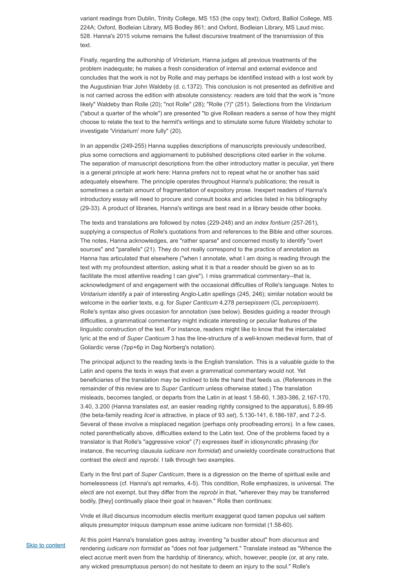variant readings from Dublin, Trinity College, MS 153 (the copy text); Oxford, Balliol College, MS 224A; Oxford, Bodleian Library, MS Bodley 861; and Oxford, Bodleian Library, MS Laud misc. 528. Hanna's 2015 volume remains the fullest discursive treatment of the transmission of this text.

Finally, regarding the authorship of *Viridarium*, Hanna judges all previous treatments of the problem inadequate; he makes a fresh consideration of internal and external evidence and concludes that the work is not by Rolle and may perhaps be identified instead with a lost work by the Augustinian friar John Waldeby (d. c*.*1372). This conclusion is not presented as definitive and is not carried across the edition with absolute consistency: readers are told that the work is "more likely" Waldeby than Rolle (20); "not Rolle" (28); "Rolle (?)" (251). Selections from the *Viridarium* ("about a quarter of the whole") are presented "to give Rollean readers a sense of how they might choose to relate the text to the hermit's writings and to stimulate some future Waldeby scholar to investigate 'Viridarium' more fully" (20).

In an appendix (249-255) Hanna supplies descriptions of manuscripts previously undescribed, plus some corrections and aggiornamenti to published descriptions cited earlier in the volume. The separation of manuscript descriptions from the other introductory matter is peculiar, yet there is a general principle at work here: Hanna prefers not to repeat what he or another has said adequately elsewhere. The principle operates throughout Hanna's publications; the result is sometimes a certain amount of fragmentation of expository prose. Inexpert readers of Hanna's introductory essay will need to procure and consult books and articles listed in his bibliography (29-33). A product of libraries, Hanna's writings are best read in a library beside other books.

The texts and translations are followed by notes (229-248) and an *index fontium* (257-261), supplying a conspectus of Rolle's quotations from and references to the Bible and other sources. The notes, Hanna acknowledges, are "rather sparse" and concerned mostly to identify "overt sources" and "parallels" (21). They do not really correspond to the practice of annotation as Hanna has articulated that elsewhere ("when I annotate, what I am doing is reading through the text with my profoundest attention, asking what it is that a reader should be given so as to facilitate the most attentive reading I can give"). I miss grammatical commentary--that is, acknowledgment of and engagement with the occasional difficulties of Rolle's language. Notes to *Viridarium* identify a pair of interesting Anglo-Latin spellings (245, 246); similar notation would be welcome in the earlier texts, e.g. for *Super Canticum* 4.278 *persepissem* (CL *percepissem*). Rolle's syntax also gives occasion for annotation (see below). Besides guiding a reader through difficulties, a grammatical commentary might indicate interesting or peculiar features of the linguistic construction of the text. For instance, readers might like to know that the intercalated lyric at the end of *Super Canticum* 3 has the line-structure of a well-known medieval form, that of Goliardic verse (7pp+6p in Dag Norberg's notation).

The principal adjunct to the reading texts is the English translation. This is a valuable guide to the Latin and opens the texts in ways that even a grammatical commentary would not. Yet beneficiaries of the translation may be inclined to bite the hand that feeds us. (References in the remainder of this review are to *Super Canticum* unless otherwise stated.) The translation misleads, becomes tangled, or departs from the Latin in at least 1.58-60, 1.383-386, 2.167-170, 3.40, 3.200 (Hanna translates *est*, an easier reading rightly consigned to the apparatus), 5.89-95 (the beta-family reading *licet* is attractive, in place of 93 *set*), 5.130-141, 6.186-187, and 7.2-5. Several of these involve a misplaced negation (perhaps only proofreading errors). In a few cases, noted parenthetically above, difficulties extend to the Latin text. One of the problems faced by a translator is that Rolle's "aggressive voice" (7) expresses itself in idiosyncratic phrasing (for

instance, the recurring clausula *iudicare non formidat*) and unwieldy coordinate constructions that contrast the *electi* and *reprobi*. I talk through two examples.

Early in the first part of *Super Canticum*, there is a digression on the theme of spiritual exile and homelessness (cf. Hanna's apt remarks, 4-5). This condition, Rolle emphasizes, is universal. The *electi* are not exempt, but they differ from the *reprobi* in that, "wherever they may be transferred bodily, [they] continually place their goal in heaven." Rolle then continues:

Vnde et illud discursus incomodum electis meritum exaggerat quod tamen populus uel saltem aliquis presumptor iniquus dampnum esse anime iudicare non formidat (1.58-60).

**Skip to content** 

At this point Hanna's translation goes astray, inventing "a bustler about" from *discursus* and rendering *iudicare non formidat* as "does not fear judgement." Translate instead as "Whence the elect accrue merit even from the hardship of itinerancy, which, however, people (or, at any rate, any wicked presumptuous person) do not hesitate to deem an injury to the soul." Rolle's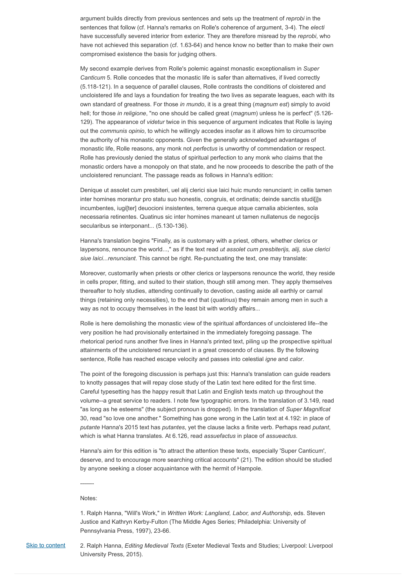argument builds directly from previous sentences and sets up the treatment of *reprobi* in the sentences that follow (cf. Hanna's remarks on Rolle's coherence of argument, 3-4). The *electi* have successfully severed interior from exterior. They are therefore misread by the *reprobi*, who have not achieved this separation (cf. 1.63-64) and hence know no better than to make their own compromised existence the basis for judging others.

My second example derives from Rolle's polemic against monastic exceptionalism in *Super Canticum* 5. Rolle concedes that the monastic life is safer than alternatives, if lived correctly (5.118-121). In a sequence of parallel clauses, Rolle contrasts the conditions of cloistered and uncloistered life and lays a foundation for treating the two lives as separate leagues, each with its own standard of greatness. For those *in mundo*, it is a great thing (*magnum est*) simply to avoid hell; for those *in religione*, "no one should be called great (*magnum*) unless he is perfect" (5.126- 129). The appearance of *videtur* twice in this sequence of argument indicates that Rolle is laying out the *communis opinio*, to which he willingly accedes insofar as it allows him to circumscribe the authority of his monastic opponents. Given the generally acknowledged advantages of monastic life, Rolle reasons, any monk not *perfectus* is unworthy of commendation or respect. Rolle has previously denied the status of spiritual perfection to any monk who claims that the monastic orders have a monopoly on that state, and he now proceeds to describe the path of the uncloistered renunciant. The passage reads as follows in Hanna's edition:

Denique ut assolet cum presbiteri, uel alij clerici siue laici huic mundo renunciant; in cellis tamen inter homines morantur pro statu suo honestis, congruis, et ordinatis; deinde sanctis studi[j]s incumbentes, iugi[ter] deuocioni insistentes, terrena queque atque carnalia abicientes, sola necessaria retinentes. Quatinus sic inter homines maneant ut tamen nullatenus de negocijs secularibus se interponant... (5.130-136).

Hanna's translation begins "Finally, as is customary with a priest, others, whether clerics or laypersons, renounce the world...," as if the text read *ut assolet cum presbiterijs, alij, siue clerici siue laici...renunciant*. This cannot be right. Re-punctuating the text, one may translate:

**Skip to content** 2. Ralph Hanna, *Editing Medieval Texts* (Exeter Medieval Texts and Studies; Liverpool: Liverpool University Press, 2015).

Moreover, customarily when priests or other clerics or laypersons renounce the world, they reside in cells proper, fitting, and suited to their station, though still among men. They apply themselves thereafter to holy studies, attending continually to devotion, casting aside all earthly or carnal things (retaining only necessities), to the end that (*quatinus*) they remain among men in such a way as not to occupy themselves in the least bit with worldly affairs...

Rolle is here demolishing the monastic view of the spiritual affordances of uncloistered life--the very position he had provisionally entertained in the immediately foregoing passage. The rhetorical period runs another five lines in Hanna's printed text, piling up the prospective spiritual attainments of the uncloistered renunciant in a great crescendo of clauses. By the following sentence, Rolle has reached escape velocity and passes into celestial *igne* and *calor*.

The point of the foregoing discussion is perhaps just this: Hanna's translation can guide readers to knotty passages that will repay close study of the Latin text here edited for the first time. Careful typesetting has the happy result that Latin and English texts match up throughout the volume--a great service to readers. I note few typographic errors. In the translation of 3.149, read "as long as he esteems" (the subject pronoun is dropped). In the translation of *Super Magnificat* 30, read "so love one another." Something has gone wrong in the Latin text at 4.192: in place of *putante* Hanna's 2015 text has *putantes*, yet the clause lacks a finite verb. Perhaps read *putant*, which is what Hanna translates. At 6.126, read *assuefactus* in place of *assueactus*.

Hanna's aim for this edition is "to attract the attention these texts, especially 'Super Canticum', deserve, and to encourage more searching critical accounts" (21). The edition should be studied by anyone seeking a closer acquaintance with the hermit of Hampole.

-------

Notes:

1. Ralph Hanna, "Will's Work," in *Written Work: Langland, Labor, and Authorship*, eds. Steven Justice and Kathryn Kerby-Fulton (The Middle Ages Series; Philadelphia: University of Pennsylvania Press, 1997), 23-66.